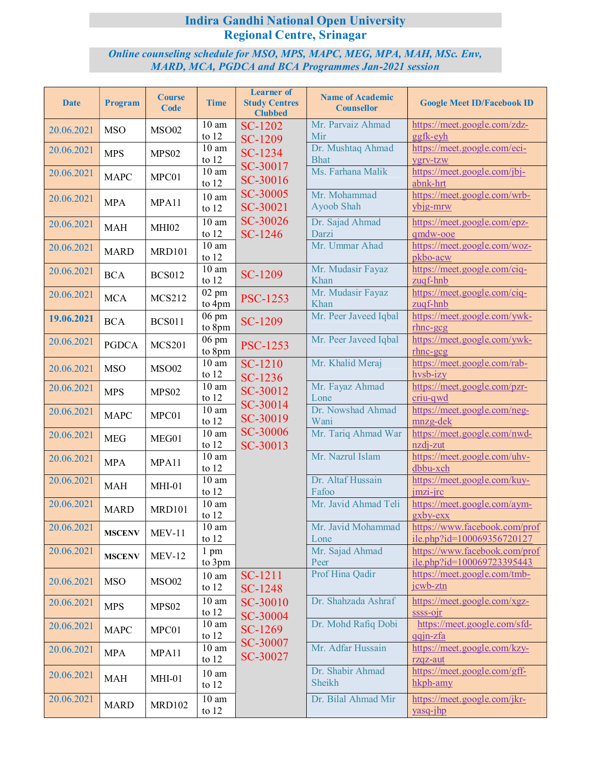## **Indira Gandhi National Open University Regional Centre, Srinagar**

## *Online counseling schedule for MSO, MPS, MAPC, MEG, MPA, MAH, MSc. Env, MARD, MCA, PGDCA and BCA Programmes Jan-2021 session*

| <b>Date</b> | <b>Program</b>       | <b>Course</b><br>Code | <b>Time</b>                   | <b>Learner</b> of<br><b>Study Centres</b><br><b>Clubbed</b> | <b>Name of Academic</b><br><b>Counsellor</b> | <b>Google Meet ID/Facebook ID</b>                           |
|-------------|----------------------|-----------------------|-------------------------------|-------------------------------------------------------------|----------------------------------------------|-------------------------------------------------------------|
| 20.06.2021  | <b>MSO</b>           | <b>MSO02</b>          | 10 <sub>am</sub><br>to $12$   | SC-1202<br><b>SC-1209</b>                                   | Mr. Parvaiz Ahmad<br>Mir                     | https://meet.google.com/zdz-<br>ggfk-eyh                    |
| 20.06.2021  | <b>MPS</b>           | MPS <sub>02</sub>     | $\overline{10}$ am<br>to $12$ | SC-1234                                                     | Dr. Mushtaq Ahmad<br><b>Bhat</b>             | https://meet.google.com/eci-<br>ygrv-tzw                    |
| 20.06.2021  | <b>MAPC</b>          | MPC01                 | $10\ \mathrm{am}$<br>to $12$  | SC-30017<br>SC-30016                                        | Ms. Farhana Malik                            | https://meet.google.com/jbj-<br>abnk-hrt                    |
| 20.06.2021  | <b>MPA</b>           | MPA11                 | 10 <sub>am</sub><br>to $12$   | SC-30005<br>SC-30021                                        | Mr. Mohammad<br>Ayoob Shah                   | https://meet.google.com/wrb-<br>ybjg-mrw                    |
| 20.06.2021  | <b>MAH</b>           | MHI02                 | 10 <sub>am</sub><br>to $12$   | SC-30026<br>SC-1246                                         | Dr. Sajad Ahmad<br>Darzi                     | https://meet.google.com/epz-<br>qmdw-ooe                    |
| 20.06.2021  | <b>MARD</b>          | <b>MRD101</b>         | 10 <sub>am</sub><br>to $12$   |                                                             | Mr. Ummar Ahad                               | https://meet.google.com/woz-<br>pkbo-acw                    |
| 20.06.2021  | <b>BCA</b>           | <b>BCS012</b>         | $\overline{1}0$ am<br>to $12$ | SC-1209                                                     | Mr. Mudasir Fayaz<br>Khan                    | https://meet.google.com/ciq-<br>zuqf-hnb                    |
| 20.06.2021  | <b>MCA</b>           | <b>MCS212</b>         | $02 \text{ pm}$<br>to 4pm     | <b>PSC-1253</b>                                             | Mr. Mudasir Fayaz<br>Khan                    | https://meet.google.com/ciq-<br>zuqf-hnb                    |
| 19.06.2021  | <b>BCA</b>           | <b>BCS011</b>         | $06 \text{ pm}$<br>to 8pm     | SC-1209                                                     | Mr. Peer Javeed Iqbal                        | https://meet.google.com/ywk-<br>$r$ hnc-gcg                 |
| 20.06.2021  | <b>PGDCA</b>         | <b>MCS201</b>         | 06 pm<br>to 8pm               | <b>PSC-1253</b>                                             | Mr. Peer Javeed Iqbal                        | https://meet.google.com/ywk-<br>$r$ hnc-gcg                 |
| 20.06.2021  | <b>MSO</b>           | <b>MSO02</b>          | 10 <sub>am</sub><br>to $12$   | SC-1210<br>SC-1236                                          | Mr. Khalid Meraj                             | https://meet.google.com/rab-<br>hvsb-izy                    |
| 20.06.2021  | <b>MPS</b>           | MPS <sub>02</sub>     | $10~\mathrm{am}$<br>to $12$   | SC-30012                                                    | Mr. Fayaz Ahmad<br>Lone                      | https://meet.google.com/pzr-<br>criu-qwd                    |
| 20.06.2021  | <b>MAPC</b>          | MPC01                 | $\overline{10}$ am<br>to $12$ | SC-30014<br>SC-30019                                        | Dr. Nowshad Ahmad<br>Wani                    | https://meet.google.com/neg-<br>mnzg-dek                    |
| 20.06.2021  | <b>MEG</b>           | MEG01                 | $\overline{10}$ am<br>to $12$ | SC-30006<br>SC-30013                                        | Mr. Tariq Ahmad War                          | https://meet.google.com/nwd-<br>nzdj-zut                    |
| 20.06.2021  | <b>MPA</b>           | MPA11                 | 10 <sub>am</sub><br>to $12$   |                                                             | Mr. Nazrul Islam                             | https://meet.google.com/uhv-<br>dbbu-xch                    |
| 20.06.2021  | $\operatorname{MAH}$ | $MHI-01$              | 10 <sub>am</sub><br>to $12$   |                                                             | Dr. Altaf Hussain<br>Fafoo                   | https://meet.google.com/kuy-<br>jmzi-jrc                    |
| 20.06.2021  | <b>MARD</b>          | <b>MRD101</b>         | $10~\mathrm{am}$<br>to $12$   |                                                             | Mr. Javid Ahmad Teli                         | https://meet.google.com/aym-<br>gxby-exx                    |
| 20.06.2021  | <b>MSCENV</b>        | $MEV-11$              | 10 <sub>am</sub><br>to $12$   |                                                             | Mr. Javid Mohammad<br>Lone                   | https://www.facebook.com/prof<br>ile.php?id=100069356720127 |
| 20.06.2021  | <b>MSCENV</b>        | $MEV-12$              | 1 pm<br>to 3pm                |                                                             | Mr. Sajad Ahmad<br>Peer                      | https://www.facebook.com/prof<br>ile.php?id=100069723395443 |
| 20.06.2021  | <b>MSO</b>           | <b>MSO02</b>          | 10 <sub>am</sub><br>to $12$   | SC-1211<br>SC-1248                                          | Prof Hina Qadir                              | https://meet.google.com/tmb-<br>jcwb-ztn                    |
| 20.06.2021  | <b>MPS</b>           | MPS <sub>02</sub>     | $10\ \mathrm{am}$<br>to $12$  | SC-30010<br>SC-30004                                        | Dr. Shahzada Ashraf                          | https://meet.google.com/xgz-<br>ssss-oir                    |
| 20.06.2021  | <b>MAPC</b>          | MPC01                 | 10 <sub>am</sub><br>to $12$   | SC-1269                                                     | Dr. Mohd Rafiq Dobi                          | https://meet.google.com/sfd-<br>gqjn-zfa                    |
| 20.06.2021  | <b>MPA</b>           | MPA11                 | 10 <sub>am</sub><br>to $12$   | SC-30007<br>SC-30027                                        | Mr. Adfar Hussain                            | https://meet.google.com/kzy-<br>rzqz-aut                    |
| 20.06.2021  | <b>MAH</b>           | $MHI-01$              | 10 <sub>am</sub><br>to $12$   |                                                             | Dr. Shabir Ahmad<br>Sheikh                   | https://meet.google.com/gff-<br>hkph-amy                    |
| 20.06.2021  | <b>MARD</b>          | <b>MRD102</b>         | 10 <sub>am</sub><br>to $12$   |                                                             | Dr. Bilal Ahmad Mir                          | https://meet.google.com/jkr-<br>yasq-jhp                    |